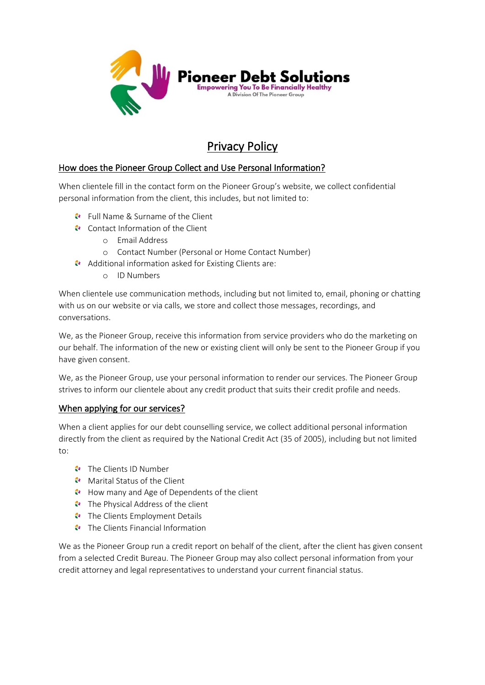

# Privacy Policy

# How does the Pioneer Group Collect and Use Personal Information?

When clientele fill in the contact form on the Pioneer Group's website, we collect confidential personal information from the client, this includes, but not limited to:

- Full Name & Surname of the Client
- Contact Information of the Client
	- o Email Address
	- o Contact Number (Personal or Home Contact Number)
- Additional information asked for Existing Clients are:
	- o ID Numbers

When clientele use communication methods, including but not limited to, email, phoning or chatting with us on our website or via calls, we store and collect those messages, recordings, and conversations.

We, as the Pioneer Group, receive this information from service providers who do the marketing on our behalf. The information of the new or existing client will only be sent to the Pioneer Group if you have given consent.

We, as the Pioneer Group, use your personal information to render our services. The Pioneer Group strives to inform our clientele about any credit product that suits their credit profile and needs.

#### When applying for our services?

When a client applies for our debt counselling service, we collect additional personal information directly from the client as required by the National Credit Act (35 of 2005), including but not limited to:

- $\bullet$  The Clients ID Number
- **Marital Status of the Client**
- How many and Age of Dependents of the client
- The Physical Address of the client
- The Clients Employment Details
- $\bullet$  The Clients Financial Information

We as the Pioneer Group run a credit report on behalf of the client, after the client has given consent from a selected Credit Bureau. The Pioneer Group may also collect personal information from your credit attorney and legal representatives to understand your current financial status.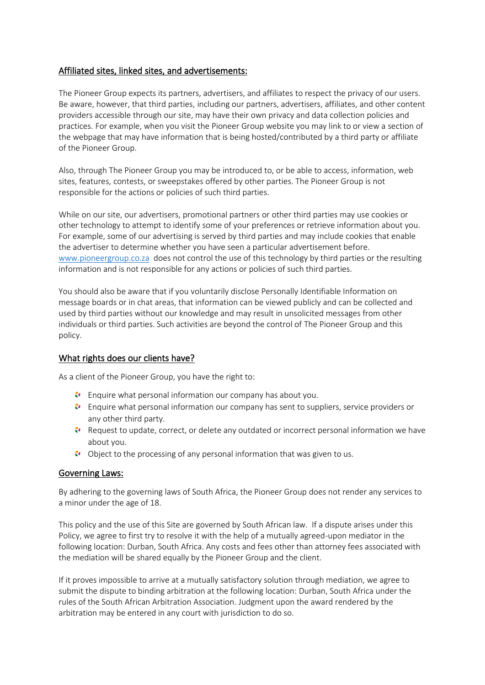# Affiliated sites, linked sites, and advertisements:

The Pioneer Group expects its partners, advertisers, and affiliates to respect the privacy of our users. Be aware, however, that third parties, including our partners, advertisers, affiliates, and other content providers accessible through our site, may have their own privacy and data collection policies and practices. For example, when you visit the Pioneer Group website you may link to or view a section of the webpage that may have information that is being hosted/contributed by a third party or affiliate of the Pioneer Group.

Also, through The Pioneer Group you may be introduced to, or be able to access, information, web sites, features, contests, or sweepstakes offered by other parties. The Pioneer Group is not responsible for the actions or policies of such third parties.

While on our site, our advertisers, promotional partners or other third parties may use cookies or other technology to attempt to identify some of your preferences or retrieve information about you. For example, some of our advertising is served by third parties and may include cookies that enable the advertiser to determine whether you have seen a particular advertisement before. [www.pioneergroup.co.za](http://www.pioneergroup.co.za/) does not control the use of this technology by third parties or the resulting information and is not responsible for any actions or policies of such third parties.

You should also be aware that if you voluntarily disclose Personally Identifiable Information on message boards or in chat areas, that information can be viewed publicly and can be collected and used by third parties without our knowledge and may result in unsolicited messages from other individuals or third parties. Such activities are beyond the control of The Pioneer Group and this policy.

## What rights does our clients have?

As a client of the Pioneer Group, you have the right to:

- Enquire what personal information our company has about you.
- Enquire what personal information our company has sent to suppliers, service providers or any other third party.
- Request to update, correct, or delete any outdated or incorrect personal information we have about you.
- $\bullet$  Object to the processing of any personal information that was given to us.

## Governing Laws:

By adhering to the governing laws of South Africa, the Pioneer Group does not render any services to a minor under the age of 18.

This policy and the use of this Site are governed by South African law. If a dispute arises under this Policy, we agree to first try to resolve it with the help of a mutually agreed-upon mediator in the following location: Durban, South Africa. Any costs and fees other than attorney fees associated with the mediation will be shared equally by the Pioneer Group and the client.

If it proves impossible to arrive at a mutually satisfactory solution through mediation, we agree to submit the dispute to binding arbitration at the following location: Durban, South Africa under the rules of the South African Arbitration Association. Judgment upon the award rendered by the arbitration may be entered in any court with jurisdiction to do so.